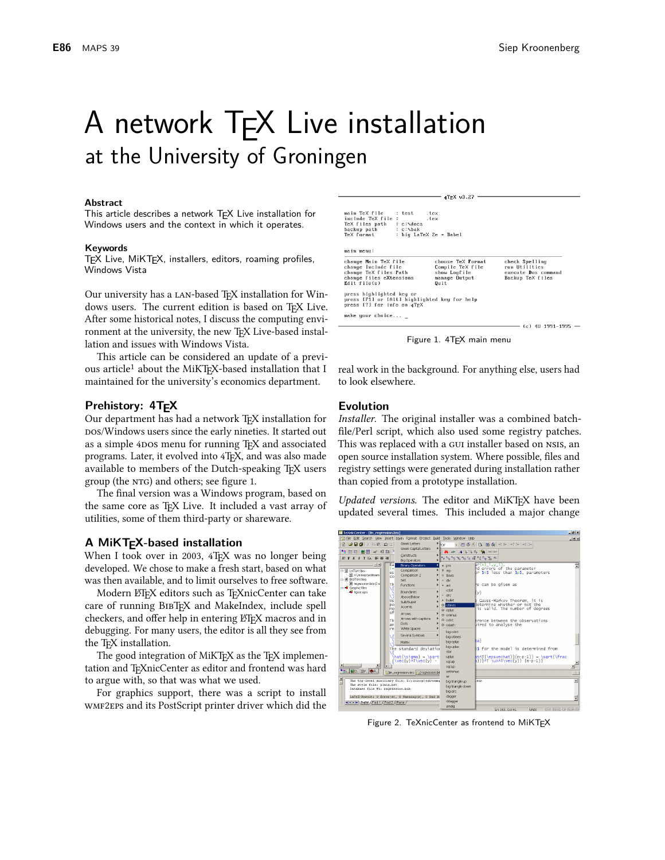# A network TFX Live installation at the University of Groningen

#### **Abstract**

This article describes a network TEX Live installation for Windows users and the context in which it operates.

#### Keywords

TEX Live, MiKTEX, installers, editors, roaming profiles, Windows Vista

Our university has a LAN-based T<sub>F</sub>X installation for Windows users. The current edition is based on TFX Live. After some historical notes, I discuss the computing environment at the university, the new T<sub>F</sub>X Live-based installation and issues with Windows Vista.

This article can be considered an update of a previous article<sup>1</sup> about the MiKTFX-based installation that I maintained for the university's economics department.

#### Prehistory: 4T<sub>F</sub>X

Our department has had a network TEX installation for pos/Windows users since the early nineties. It started out as a simple 4DOS menu for running T<sub>F</sub>X and associated programs. Later, it evolved into 4TFX, and was also made available to members of the Dutch-speaking TFX users group (the NTG) and others; see figure 1.

The final version was a Windows program, based on the same core as T<sub>E</sub>X Live. It included a vast array of utilities, some of them third-party or shareware.

#### A MiKTEX-based installation

When I took over in 2003, 4TEX was no longer being developed. We chose to make a fresh start, based on what was then available, and to limit ourselves to free software.

Modern LTFX editors such as TFXnicCenter can take care of running BIBTFX and MakeIndex, include spell checkers, and offer help in entering LT<sub>F</sub>X macros and in debugging. For many users, the editor is all they see from the TFX installation.

The good integration of MiKTFX as the TFX implementation and TFXnicCenter as editor and frontend was hard to argue with, so that was what we used.

For graphics support, there was a script to install WMF2EPS and its PostScript printer driver which did the

| main TeX file<br>include TeX file :<br>TeX files path : c:\docs<br>backup path : c:\bak<br>TeX format           | : test tex<br>: big LaTeX 2e + Babel | $.$ tex                                                                        |                                                                            |
|-----------------------------------------------------------------------------------------------------------------|--------------------------------------|--------------------------------------------------------------------------------|----------------------------------------------------------------------------|
| main menu:                                                                                                      |                                      |                                                                                |                                                                            |
| change Main TeX file<br>change Include file<br>change TeX files Path<br>change files eXtensions<br>Edit file(s) |                                      | choose TeX Format<br>Compile TeX file<br>show Logfile<br>manage Output<br>Quit | check Spelling<br>run Utilities<br>execute Dos command<br>Backup TeX files |
| press highlighted key or<br>press [F1] or [Alt] highlighted key for help<br>press [7] for info on 4TEX          |                                      |                                                                                |                                                                            |
| make your choice                                                                                                |                                      |                                                                                | $\sim$ / $\sim$ $\sim$ 411 4004 4005 $-$                                   |

4TEX 03.27

Figure 1. 4TEX main menu

real work in the background. For anything else, users had to look elsewhere.

#### **Evolution**

Installer. The original installer was a combined batchfile/Perl script, which also used some registry patches. This was replaced with a GUI installer based on NSIS, an open source installation system. Where possible, files and registry settings were generated during installation rather than copied from a prototype installation.

Updated versions. The editor and MiKTFX have been updated several times. This included a major change



Figure 2. TeXnicCenter as frontend to MiKTEX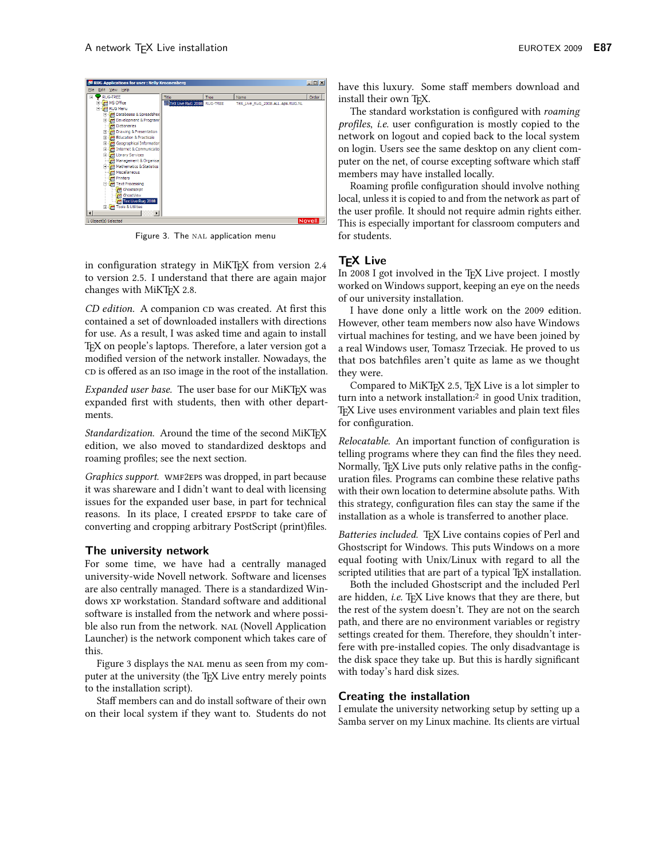

Figure 3. The NAL application menu

in configuration strategy in MiKTFX from version 2.4 to version 2.5. I understand that there are again major changes with MiKTFX 2.8.

CD edition. A companion CD was created. At first this contained a set of downloaded installers with directions for use. As a result, I was asked time and again to install T<sub>F</sub>X on people's laptops. Therefore, a later version got a modified version of the network installer. Nowadays, the CD is offered as an ISO image in the root of the installation.

*Expanded user base.* The user base for our MiKT<sub>E</sub>X was expanded first with students, then with other departments.

Standardization. Around the time of the second MiKTFX edition, we also moved to standardized desktops and roaming profiles; see the next section.

Graphics support. WMF2EPS was dropped, in part because it was shareware and I didn't want to deal with licensing issues for the expanded user base, in part for technical reasons. In its place, I created EPSPDF to take care of converting and cropping arbitrary PostScript (print)files.

#### The university network

For some time, we have had a centrally managed university-wide Novell network. Software and licenses are also centrally managed. There is a standardized Windows XP workstation. Standard software and additional software is installed from the network and where possible also run from the network. NAL (Novell Application Launcher) is the network component which takes care of this.

Figure 3 displays the NAL menu as seen from my computer at the university (the TFX Live entry merely points to the installation script).

Staff members can and do install software of their own on their local system if they want to. Students do not have this luxury. Some staff members download and install their own TFX.

The standard workstation is configured with roaming profiles, i.e. user configuration is mostly copied to the network on logout and copied back to the local system on login. Users see the same desktop on any client computer on the net, of course excepting software which staff members may have installed locally.

Roaming profile configuration should involve nothing local, unless it is copied to and from the network as part of the user profile. It should not require admin rights either. This is especially important for classroom computers and for students.

## **T<sub>E</sub>X Live**

In 2008 I got involved in the T<sub>F</sub>X Live project. I mostly worked on Windows support, keeping an eye on the needs of our university installation.

I have done only a little work on the 2009 edition. However, other team members now also have Windows virtual machines for testing, and we have been joined by a real Windows user, Tomasz Trzeciak. He proved to us that pos batchfiles aren't quite as lame as we thought they were.

Compared to MiKTFX 2.5, TFX Live is a lot simpler to turn into a network installation:<sup>2</sup> in good Unix tradition, TFX Live uses environment variables and plain text files for configuration.

Relocatable. An important function of configuration is telling programs where they can find the files they need. Normally, TEX Live puts only relative paths in the configuration files. Programs can combine these relative paths with their own location to determine absolute paths. With this strategy, configuration files can stay the same if the installation as a whole is transferred to another place.

Batteries included. TFX Live contains copies of Perl and Ghostscript for Windows. This puts Windows on a more equal footing with Unix/Linux with regard to all the scripted utilities that are part of a typical TFX installation.

Both the included Ghostscript and the included Perl are hidden, i.e. TEX Live knows that they are there, but the rest of the system doesn't. They are not on the search path, and there are no environment variables or registry settings created for them. Therefore, they shouldn't interfere with pre-installed copies. The only disadvantage is the disk space they take up. But this is hardly significant with today's hard disk sizes.

## **Creating the installation**

I emulate the university networking setup by setting up a Samba server on my Linux machine. Its clients are virtual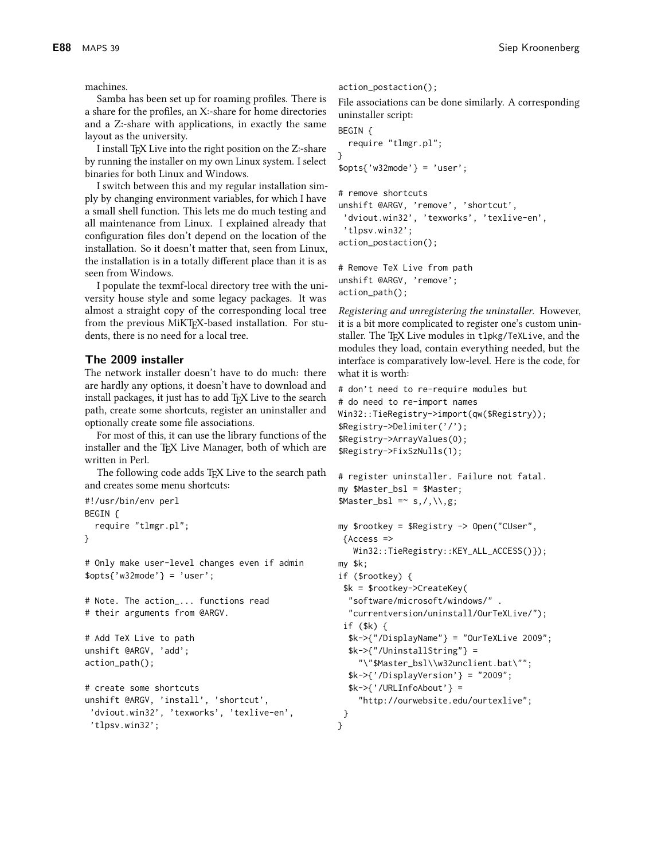machines.

Samba has been set up for roaming profiles. There is a share for the profiles, an X:-share for home directories and a Z:-share with applications, in exactly the same layout as the university.

I install TFX Live into the right position on the Z:-share by running the installer on my own Linux system. I select binaries for both Linux and Windows.

I switch between this and my regular installation simply by changing environment variables, for which I have a small shell function. This lets me do much testing and all maintenance from Linux. I explained already that configuration files don't depend on the location of the installation. So it doesn't matter that, seen from Linux, the installation is in a totally different place than it is as seen from Windows.

I populate the texmf-local directory tree with the university house style and some legacy packages. It was almost a straight copy of the corresponding local tree from the previous MiKTFX-based installation. For students, there is no need for a local tree.

#### The 2009 installer

The network installer doesn't have to do much: there are hardly any options, it doesn't have to download and install packages, it just has to add T<sub>F</sub>X Live to the search path, create some shortcuts, register an uninstaller and optionally create some file associations.

For most of this, it can use the library functions of the installer and the TEX Live Manager, both of which are written in Perl.

The following code adds TFX Live to the search path and creates some menu shortcuts:

```
#!/usr/bin/env perl
BEGIN {
  require "tlmgr.pl";
ŀ
```
# Only make user-level changes even if admin  $$opts{'$ "w32mode'} = 'user';

```
# Note. The action_... functions read
# their arguments from @ARGV.
```

```
# Add TeX Live to path
unshift @ARGV, 'add';
action_path();
```

```
# create some shortcuts
unshift @ARGV, 'install', 'shortcut',
 'dviout.win32', 'texworks', 'texlive-en',
 'tlpsv.win32';
```
action\_postaction();

File associations can be done similarly. A corresponding uninstaller script:

```
BEGIN {
  require "tlmgr.pl";
}
\text{spots}{' w32mode' } = 'user';
# remove shortcuts
```

```
unshift @ARGV, 'remove', 'shortcut',
 'dviout.win32', 'texworks', 'texlive-en',
 'tlpsv.win32';
action_postaction();
```
# Remove TeX Live from path unshift @ARGV, 'remove';  $action\_path()$ ;

Registering and unregistering the uninstaller. However, it is a bit more complicated to register one's custom uninstaller. The TFX Live modules in t1pkg/TeXLive, and the modules they load, contain everything needed, but the interface is comparatively low-level. Here is the code, for what it is worth:

```
# don't need to re-require modules but
# do need to re-import names
Win32::TieRegistry->import(qw($Registry));
$Registry->Delimiter('/');
$Registry->ArrayValues(0);
$Registry->FixSzNulls(1);
```

```
# register uninstaller. Failure not fatal.
my $Master_bsl = $Master;
$Master_bsl =~ s, /, \mathcal{N}, g;
```

```
my $rootkey = $Registry -> Open("CUser",
 {Access =}Win32::TieRegistry::KEY_ALL_ACCESS()});
my $k;
if (\text{footkey}) {
 k =$rootkey->CreateKey(
  "software/microsoft/windows/".
  "currentversion/uninstall/OurTeXLive/");
 if (\frac{1}{3}k) {
  k \rightarrow{"/DisplayName"} = "OurTeXLive 2009";
  k \rightarrow{"/UninstallString"} =
     "\"$Master_bsl\\w32unclient.bat\"";
  k \rightarrow{'/DisplayVersion'} = "2009";
  k \rightarrow //URLInfoAbout' } =
     "http://ourwebsite.edu/ourtexlive";
 \mathcal{L}\mathcal{F}
```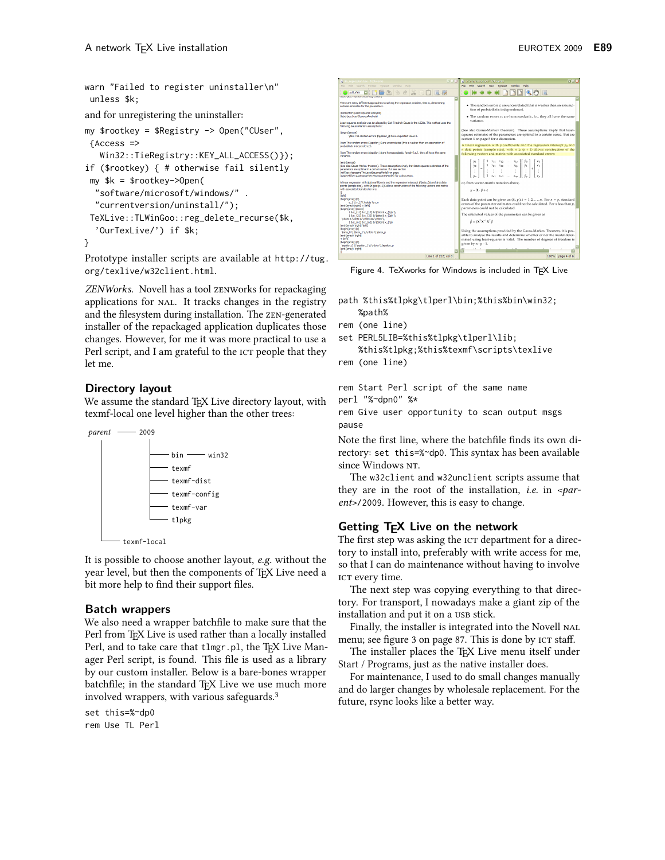warn "Failed to register uninstaller\n" unless \$k;

and for unregistering the uninstaller:

```
my $rootkey = $Registry -> Open("CUser",
 {Access >}Win32::TieRegistry::KEY_ALL_ACCESS()});
if ($rootkey) \{ # otherwise fail silently
 my k = $rootkey->Open(
  "software/microsoft/windows/".
  "currentversion/uninstall/");
 TeXLive::TLWinGoo::reg_delete_recurse($k,
  'OurTexLive/') if $k;
\mathcal{E}
```
Prototype installer scripts are available at http://tug. org/texlive/w32client.html.

ZENWorks. Novell has a tool zENWorks for repackaging applications for NAL. It tracks changes in the registry and the filesystem during installation. The ZEN-generated installer of the repackaged application duplicates those changes. However, for me it was more practical to use a Perl script, and I am grateful to the ICT people that they let me.

## Directory layout

We assume the standard TFX Live directory layout, with texmf-local one level higher than the other trees:



It is possible to choose another layout, e.g. without the year level, but then the components of TFX Live need a bit more help to find their support files.

## **Batch wrappers**

We also need a wrapper batchfile to make sure that the Perl from TFX Live is used rather than a locally installed Perl, and to take care that tlmgr.pl, the T<sub>F</sub>X Live Manager Perl script, is found. This file is used as a library by our custom installer. Below is a bare-bones wrapper batchfile; in the standard T<sub>F</sub>X Live we use much more involved wrappers, with various safeguards.<sup>3</sup>

set this=%~dp0 rem Use TL Perl



Figure 4. TeXworks for Windows is included in TFX Live

path %this%tlpkg\tlperl\bin;%this%bin\win32; %path%

```
rem (one line)
```

```
set PERL5LIB=%this%tlpkg\tlperl\lib;
```
%this%tlpkg;%this%texmf\scripts\texlive rem (one line)

```
rem Start Perl script of the same name
perl "%~dpn0" %*
rem Give user opportunity to scan output msgs
pause
```
Note the first line, where the batchfile finds its own directory: set this=%~dp0. This syntax has been available since Windows NT.

The w32client and w32unclient scripts assume that they are in the root of the installation, *i.e.* in  $\epsilon$ *par*ent>/2009. However, this is easy to change.

# Getting T<sub>F</sub>X Live on the network

The first step was asking the ICT department for a directory to install into, preferably with write access for me, so that I can do maintenance without having to involve ICT every time.

The next step was copying everything to that directory. For transport, I nowadays make a giant zip of the installation and put it on a USB stick.

Finally, the installer is integrated into the Novell NAL menu; see figure 3 on page 87. This is done by ICT staff.

The installer places the T<sub>F</sub>X Live menu itself under Start / Programs, just as the native installer does.

For maintenance, I used to do small changes manually and do larger changes by wholesale replacement. For the future, rsync looks like a better way.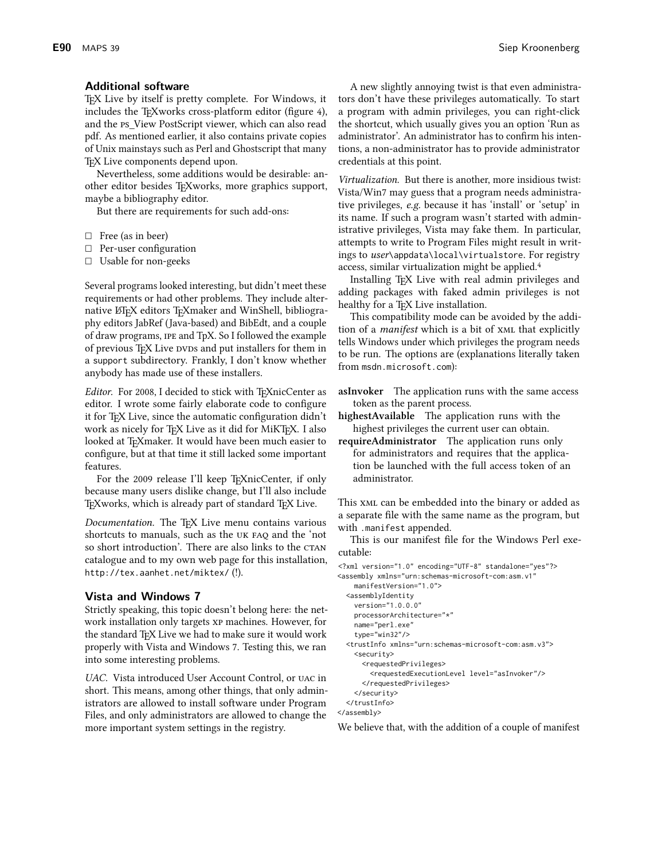#### **Additional software**

TEX Live by itself is pretty complete. For Windows, it includes the T<sub>F</sub>Xworks cross-platform editor (figure 4), and the PS\_View PostScript viewer, which can also read pdf. As mentioned earlier, it also contains private copies of Unix mainstays such as Perl and Ghostscript that many TEX Live components depend upon.

Nevertheless, some additions would be desirable: another editor besides TEXworks, more graphics support, maybe a bibliography editor.

But there are requirements for such add-ons:

- $\Box$  Free (as in beer)
- $\Box$  Per-user configuration
- $\Box$  Usable for non-geeks

Several programs looked interesting, but didn't meet these requirements or had other problems. They include alternative LTFX editors TFXmaker and WinShell, bibliography editors JabRef (Java-based) and BibEdt, and a couple of draw programs, IPE and TpX. So I followed the example of previous T<sub>F</sub>X Live DVDs and put installers for them in a support subdirectory. Frankly, I don't know whether anybody has made use of these installers.

Editor. For 2008, I decided to stick with TFXnicCenter as editor. I wrote some fairly elaborate code to configure it for TEX Live, since the automatic configuration didn't work as nicely for TFX Live as it did for MiKTFX. I also looked at TEXmaker. It would have been much easier to configure, but at that time it still lacked some important features.

For the 2009 release I'll keep TEXnicCenter, if only because many users dislike change, but I'll also include T<sub>F</sub>Xworks, which is already part of standard T<sub>F</sub>X Live.

Documentation. The TEX Live menu contains various shortcuts to manuals, such as the UK FAQ and the 'not so short introduction'. There are also links to the CTAN catalogue and to my own web page for this installation, http://tex.aanhet.net/miktex/(!).

#### **Vista and Windows 7**

Strictly speaking, this topic doesn't belong here: the network installation only targets xP machines. However, for the standard TFX Live we had to make sure it would work properly with Vista and Windows 7. Testing this, we ran into some interesting problems.

UAC. Vista introduced User Account Control, or UAC in short. This means, among other things, that only administrators are allowed to install software under Program Files, and only administrators are allowed to change the more important system settings in the registry.

A new slightly annoying twist is that even administrators don't have these privileges automatically. To start a program with admin privileges, you can right-click the shortcut, which usually gives you an option 'Run as administrator'. An administrator has to confirm his intentions, a non-administrator has to provide administrator credentials at this point.

Virtualization. But there is another, more insidious twist: Vista/Win7 may guess that a program needs administrative privileges, e.g. because it has 'install' or 'setup' in its name. If such a program wasn't started with administrative privileges, Vista may fake them. In particular, attempts to write to Program Files might result in writings to user\appdata\local\virtualstore. For registry access, similar virtualization might be applied.<sup>4</sup>

Installing TEX Live with real admin privileges and adding packages with faked admin privileges is not healthy for a TEX Live installation.

This compatibility mode can be avoided by the addition of a *manifest* which is a bit of XML that explicitly tells Windows under which privileges the program needs to be run. The options are (explanations literally taken from msdn.microsoft.com):

- asInvoker The application runs with the same access token as the parent process.
- highestAvailable The application runs with the highest privileges the current user can obtain.
- requireAdministrator The application runs only for administrators and requires that the application be launched with the full access token of an administrator.

This XML can be embedded into the binary or added as a separate file with the same name as the program, but with .manifest appended.

This is our manifest file for the Windows Perl executable:

```
<?xml version="1.0" encoding="UTF-8" standalone="yes"?>
<assembly xmlns="urn:schemas-microsoft-com:asm.v1"
   manifestVersion="1.0">
  <assemblyIdentity
   version="1.0.0.0"
    processorArchitecture="*"
    name="perl.exe"
    type="win32"/>
  <trustInfo xmlns="urn:schemas-microsoft-com:asm.v3">
    <security>
      <requestedPrivileges>
        <requestedExecutionLevel level="asInvoker"/>
      </requestedPrivileges>
    </security>
  </trustInfo>
</assembly>
```
We believe that, with the addition of a couple of manifest